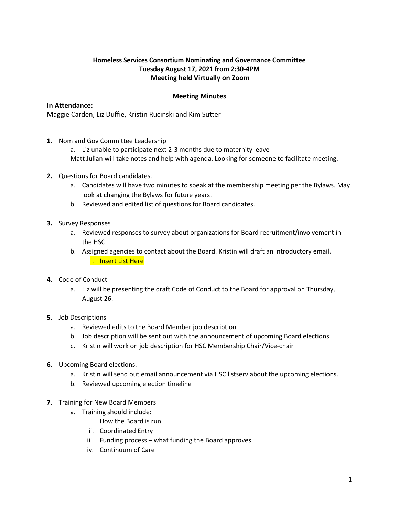## **Homeless Services Consortium Nominating and Governance Committee Tuesday August 17, 2021 from 2:30-4PM Meeting held Virtually on Zoom**

## **Meeting Minutes**

## **In Attendance:**

Maggie Carden, Liz Duffie, Kristin Rucinski and Kim Sutter

**1.** Nom and Gov Committee Leadership

a. Liz unable to participate next 2-3 months due to maternity leave

Matt Julian will take notes and help with agenda. Looking for someone to facilitate meeting.

- **2.** Questions for Board candidates.
	- a. Candidates will have two minutes to speak at the membership meeting per the Bylaws. May look at changing the Bylaws for future years.
	- b. Reviewed and edited list of questions for Board candidates.
- **3.** Survey Responses
	- a. Reviewed responses to survey about organizations for Board recruitment/involvement in the HSC
	- b. Assigned agencies to contact about the Board. Kristin will draft an introductory email. i. Insert List Here
- **4.** Code of Conduct
	- a. Liz will be presenting the draft Code of Conduct to the Board for approval on Thursday, August 26.
- **5.** Job Descriptions
	- a. Reviewed edits to the Board Member job description
	- b. Job description will be sent out with the announcement of upcoming Board elections
	- c. Kristin will work on job description for HSC Membership Chair/Vice-chair
- **6.** Upcoming Board elections.
	- a. Kristin will send out email announcement via HSC listserv about the upcoming elections.
	- b. Reviewed upcoming election timeline
- **7.** Training for New Board Members
	- a. Training should include:
		- i. How the Board is run
		- ii. Coordinated Entry
		- iii. Funding process what funding the Board approves
		- iv. Continuum of Care